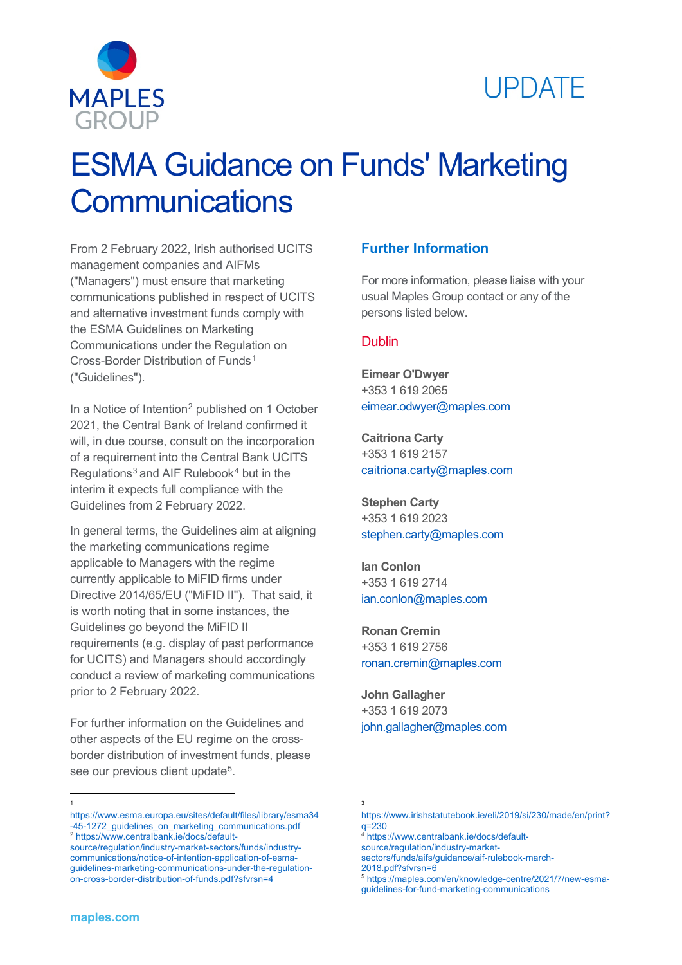



# ESMA Guidance on Funds' Marketing **Communications**

From 2 February 2022, Irish authorised UCITS management companies and AIFMs ("Managers") must ensure that marketing communications published in respect of UCITS and alternative investment funds comply with the ESMA Guidelines on Marketing Communications under the Regulation on Cross-Border Distribution of Funds[1](#page-0-0) ("Guidelines").

In a Notice of Intention<sup>2</sup> published on 1 October 2021, the Central Bank of Ireland confirmed it will, in due course, consult on the incorporation of a requirement into the Central Bank UCITS Regulations $3$  and AIF Rulebook $4$  but in the interim it expects full compliance with the Guidelines from 2 February 2022.

In general terms, the Guidelines aim at aligning the marketing communications regime applicable to Managers with the regime currently applicable to MiFID firms under Directive 2014/65/EU ("MiFID II"). That said, it is worth noting that in some instances, the Guidelines go beyond the MiFID II requirements (e.g. display of past performance for UCITS) and Managers should accordingly conduct a review of marketing communications prior to 2 February 2022.

For further information on the Guidelines and other aspects of the EU regime on the crossborder distribution of investment funds, please see our previous client update<sup>5</sup>.

## **Further Information**

For more information, please liaise with your usual Maples Group contact or any of the persons listed below.

#### Dublin

**Eimear O'Dwyer** +353 1 619 2065 [eimear.odwyer@maples.com](mailto:eimear.odwyer@maples.com)

**Caitriona Carty** +353 1 619 2157 [caitriona.carty@maples.com](mailto:caitriona.carty@maples.com)

**Stephen Carty** +353 1 619 2023 [stephen.carty@maples.com](mailto:stephen.carty@maples.com)

**Ian Conlon** +353 1 619 2714 [ian.conlon@maples.com](mailto:ian.conlon@maples.com)

**Ronan Cremin** +353 1 619 2756 [ronan.cremin@maples.com](mailto:ronan.cremin@maples.com)

**John Gallagher** +353 1 619 2073 [john.gallagher@maples.com](mailto:john.gallagher@maples.com)

 $\overline{a}$ 1

<span id="page-0-0"></span>[https://www.esma.europa.eu/sites/default/files/library/esma34](https://www.esma.europa.eu/sites/default/files/library/esma34-45-1272_guidelines_on_marketing_communications.pdf) -45-1272 guidelines on marketing communications.pdf <sup>2</sup> [https://www.centralbank.ie/docs/default-](https://www.centralbank.ie/docs/default-source/regulation/industry-market-sectors/funds/industry-communications/notice-of-intention-application-of-esma-guidelines-marketing-communications-under-the-regulation-on-cross-border-distribution-of-funds.pdf?sfvrsn=4)

<span id="page-0-2"></span><span id="page-0-1"></span>[source/regulation/industry-market-sectors/funds/industry](https://www.centralbank.ie/docs/default-source/regulation/industry-market-sectors/funds/industry-communications/notice-of-intention-application-of-esma-guidelines-marketing-communications-under-the-regulation-on-cross-border-distribution-of-funds.pdf?sfvrsn=4)[communications/notice-of-intention-application-of-esma](https://www.centralbank.ie/docs/default-source/regulation/industry-market-sectors/funds/industry-communications/notice-of-intention-application-of-esma-guidelines-marketing-communications-under-the-regulation-on-cross-border-distribution-of-funds.pdf?sfvrsn=4)[guidelines-marketing-communications-under-the-regulation](https://www.centralbank.ie/docs/default-source/regulation/industry-market-sectors/funds/industry-communications/notice-of-intention-application-of-esma-guidelines-marketing-communications-under-the-regulation-on-cross-border-distribution-of-funds.pdf?sfvrsn=4)[on-cross-border-distribution-of-funds.pdf?sfvrsn=4](https://www.centralbank.ie/docs/default-source/regulation/industry-market-sectors/funds/industry-communications/notice-of-intention-application-of-esma-guidelines-marketing-communications-under-the-regulation-on-cross-border-distribution-of-funds.pdf?sfvrsn=4)

<sup>3</sup>

[https://www.irishstatutebook.ie/eli/2019/si/230/made/en/print?](https://www.irishstatutebook.ie/eli/2019/si/230/made/en/print?q=230) [q=230](https://www.irishstatutebook.ie/eli/2019/si/230/made/en/print?q=230)

<sup>4</sup> [https://www.centralbank.ie/docs/default-](https://www.centralbank.ie/docs/default-source/regulation/industry-market-sectors/funds/aifs/guidance/aif-rulebook-march-2018.pdf?sfvrsn=6)

[source/regulation/industry-market](https://www.centralbank.ie/docs/default-source/regulation/industry-market-sectors/funds/aifs/guidance/aif-rulebook-march-2018.pdf?sfvrsn=6)[sectors/funds/aifs/guidance/aif-rulebook-march-](https://www.centralbank.ie/docs/default-source/regulation/industry-market-sectors/funds/aifs/guidance/aif-rulebook-march-2018.pdf?sfvrsn=6)

[<sup>2018.</sup>pdf?sfvrsn=6](https://www.centralbank.ie/docs/default-source/regulation/industry-market-sectors/funds/aifs/guidance/aif-rulebook-march-2018.pdf?sfvrsn=6)

<sup>5</sup> [https://maples.com/en/knowledge-centre/2021/7/new-esma](https://maples.com/en/knowledge-centre/2021/7/new-esma-guidelines-for-fund-marketing-communications)[guidelines-for-fund-marketing-communications](https://maples.com/en/knowledge-centre/2021/7/new-esma-guidelines-for-fund-marketing-communications)